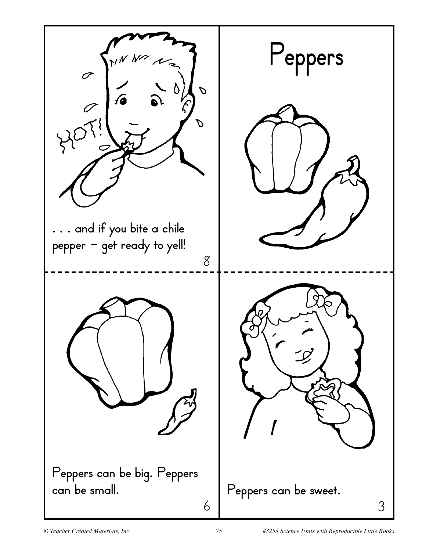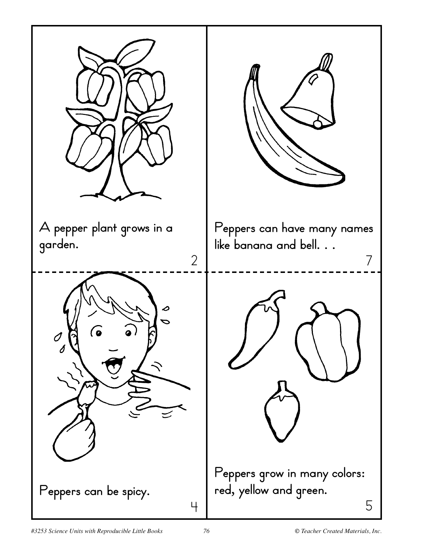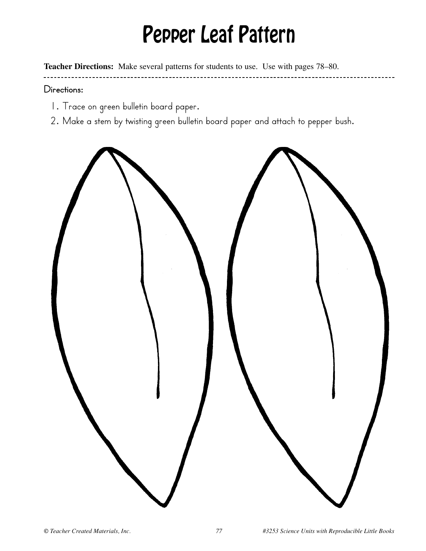## Pepper Leaf Pattern

**Teacher Directions:** Make several patterns for students to use. Use with pages 78–80.

#### **Directions:**

- 1. Trace on green bulletin board paper.
- 2. Make a stem by twisting green bulletin board paper and attach to pepper bush.

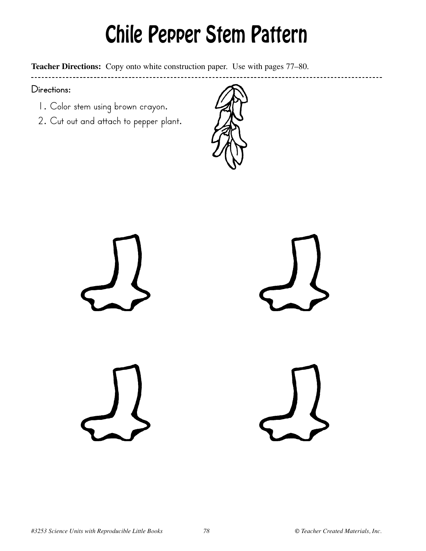# Chile Pepper Stem Pattern

**Teacher Directions:** Copy onto white construction paper. Use with pages 77–80.

#### **Directions:**

- 1. Color stem using brown crayon.
- 2. Cut out and attach to pepper plant.



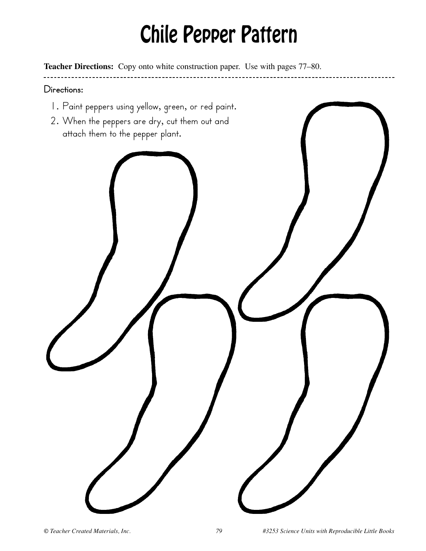# Chile Pepper Pattern

**Teacher Directions:** Copy onto white construction paper. Use with pages 77–80.

### **Directions:**

- 1. Paint peppers using yellow, green, or red paint.
- 2. When the peppers are dry, cut them out and attach them to the pepper plant.